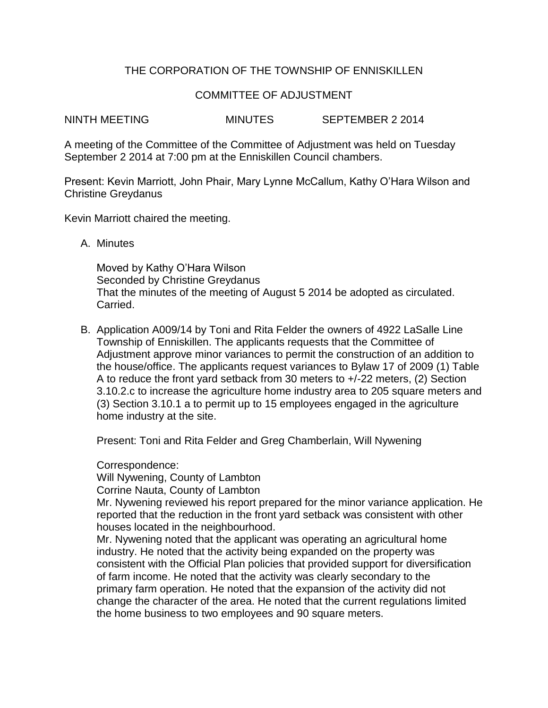## THE CORPORATION OF THE TOWNSHIP OF ENNISKILLEN

## COMMITTEE OF ADJUSTMENT

NINTH MEETING MINUTES SEPTEMBER 2 2014

A meeting of the Committee of the Committee of Adjustment was held on Tuesday September 2 2014 at 7:00 pm at the Enniskillen Council chambers.

Present: Kevin Marriott, John Phair, Mary Lynne McCallum, Kathy O'Hara Wilson and Christine Greydanus

Kevin Marriott chaired the meeting.

A. Minutes

Moved by Kathy O'Hara Wilson Seconded by Christine Greydanus That the minutes of the meeting of August 5 2014 be adopted as circulated. Carried.

B. Application A009/14 by Toni and Rita Felder the owners of 4922 LaSalle Line Township of Enniskillen. The applicants requests that the Committee of Adjustment approve minor variances to permit the construction of an addition to the house/office. The applicants request variances to Bylaw 17 of 2009 (1) Table A to reduce the front yard setback from 30 meters to +/-22 meters, (2) Section 3.10.2.c to increase the agriculture home industry area to 205 square meters and (3) Section 3.10.1 a to permit up to 15 employees engaged in the agriculture home industry at the site.

Present: Toni and Rita Felder and Greg Chamberlain, Will Nywening

the home business to two employees and 90 square meters.

Correspondence: Will Nywening, County of Lambton Corrine Nauta, County of Lambton Mr. Nywening reviewed his report prepared for the minor variance application. He reported that the reduction in the front yard setback was consistent with other houses located in the neighbourhood. Mr. Nywening noted that the applicant was operating an agricultural home industry. He noted that the activity being expanded on the property was consistent with the Official Plan policies that provided support for diversification of farm income. He noted that the activity was clearly secondary to the primary farm operation. He noted that the expansion of the activity did not change the character of the area. He noted that the current regulations limited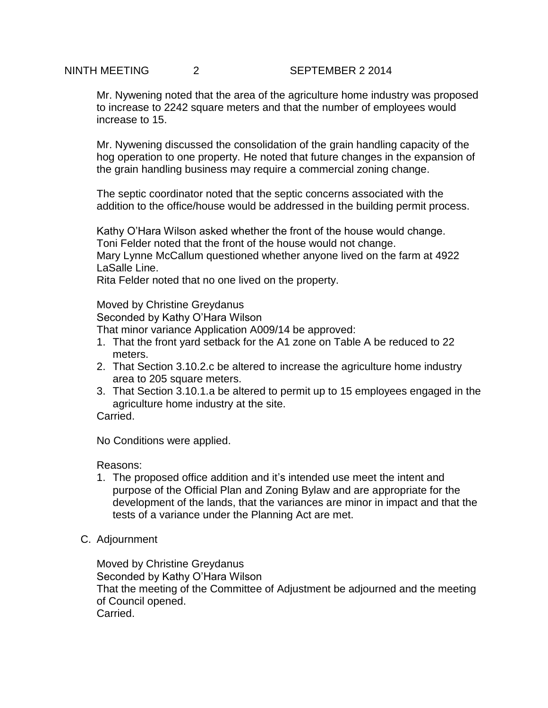Mr. Nywening noted that the area of the agriculture home industry was proposed to increase to 2242 square meters and that the number of employees would increase to 15.

Mr. Nywening discussed the consolidation of the grain handling capacity of the hog operation to one property. He noted that future changes in the expansion of the grain handling business may require a commercial zoning change.

The septic coordinator noted that the septic concerns associated with the addition to the office/house would be addressed in the building permit process.

Kathy O'Hara Wilson asked whether the front of the house would change. Toni Felder noted that the front of the house would not change.

Mary Lynne McCallum questioned whether anyone lived on the farm at 4922 LaSalle Line.

Rita Felder noted that no one lived on the property.

Moved by Christine Greydanus

Seconded by Kathy O'Hara Wilson

That minor variance Application A009/14 be approved:

- 1. That the front yard setback for the A1 zone on Table A be reduced to 22 meters.
- 2. That Section 3.10.2.c be altered to increase the agriculture home industry area to 205 square meters.
- 3. That Section 3.10.1.a be altered to permit up to 15 employees engaged in the agriculture home industry at the site.
- Carried.

No Conditions were applied.

Reasons:

- 1. The proposed office addition and it's intended use meet the intent and purpose of the Official Plan and Zoning Bylaw and are appropriate for the development of the lands, that the variances are minor in impact and that the tests of a variance under the Planning Act are met.
- C. Adjournment

Moved by Christine Greydanus Seconded by Kathy O'Hara Wilson That the meeting of the Committee of Adjustment be adjourned and the meeting of Council opened. Carried.